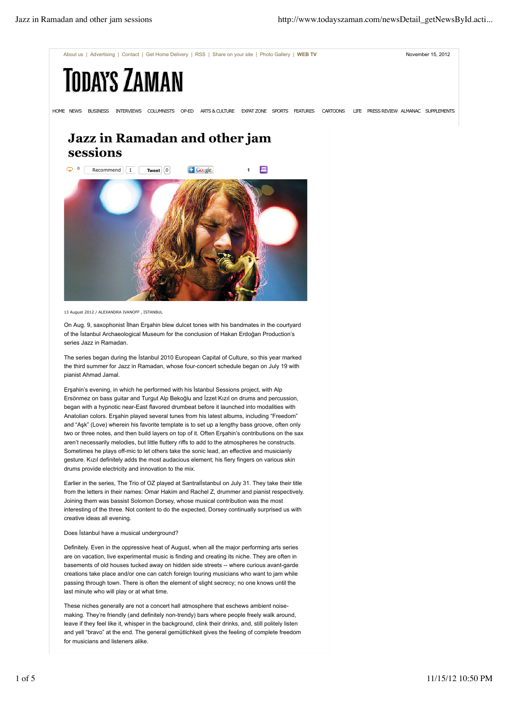

## **Jazz in Ramadan and other jam sessions**



13 August 2012 / ALEXANDRA IVANOFF , İSTANBUL

On Aug. 9, saxophonist İlhan Erşahin blew dulcet tones with his bandmates in the courtyard of the İstanbul Archaeological Museum for the conclusion of Hakan Erdoğan Production's series Jazz in Ramadan.

The series began during the İstanbul 2010 European Capital of Culture, so this year marked the third summer for Jazz in Ramadan, whose four-concert schedule began on July 19 with pianist Ahmad Jamal.

Erşahin's evening, in which he performed with his İstanbul Sessions project, with Alp Ersönmez on bass guitar and Turgut Alp Bekoğlu and İzzet Kızıl on drums and percussion, began with a hypnotic near-East flavored drumbeat before it launched into modalities with Anatolian colors. Erşahin played several tunes from his latest albums, including "Freedom" and "Aşk" (Love) wherein his favorite template is to set up a lengthy bass groove, often only two or three notes, and then build layers on top of it. Often Erşahin's contributions on the sax aren't necessarily melodies, but little fluttery riffs to add to the atmospheres he constructs. Sometimes he plays off-mic to let others take the sonic lead, an effective and musicianly gesture. Kızıl definitely adds the most audacious element; his fiery fingers on various skin drums provide electricity and innovation to the mix.

Earlier in the series, The Trio of OZ played at Santralİstanbul on July 31. They take their title from the letters in their names: Omar Hakim and Rachel Z, drummer and pianist respectively. Joining them was bassist Solomon Dorsey, whose musical contribution was the most interesting of the three. Not content to do the expected, Dorsey continually surprised us with creative ideas all evening.

## Does İstanbul have a musical underground?

Definitely. Even in the oppressive heat of August, when all the major performing arts series are on vacation, live experimental music is finding and creating its niche. They are often in basements of old houses tucked away on hidden side streets -- where curious avant-garde creations take place and/or one can catch foreign touring musicians who want to jam while passing through town. There is often the element of slight secrecy; no one knows until the last minute who will play or at what time.

These niches generally are not a concert hall atmosphere that eschews ambient noisemaking. They're friendly (and definitely non-trendy) bars where people freely walk around, leave if they feel like it, whisper in the background, clink their drinks, and, still politely listen and yell "bravo" at the end. The general gemütlichkeit gives the feeling of complete freedom for musicians and listeners alike.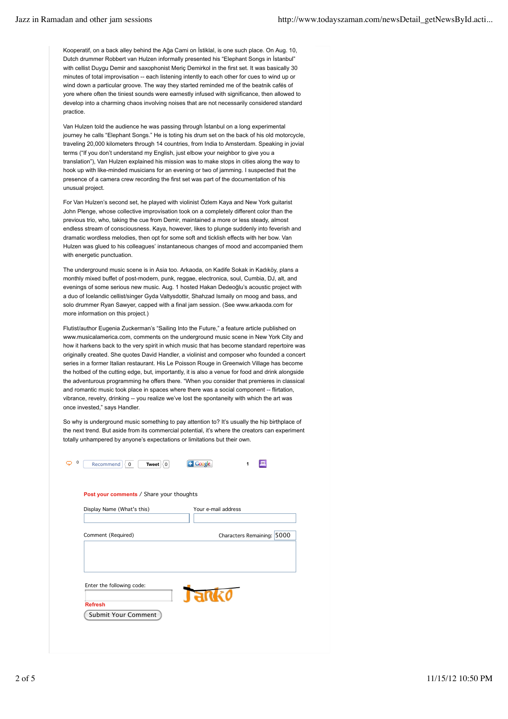Kooperatif, on a back alley behind the Ağa Cami on İstiklal, is one such place. On Aug. 10, Dutch drummer Robbert van Hulzen informally presented his "Elephant Songs in İstanbul" with cellist Duygu Demir and saxophonist Meriç Demirkol in the first set. It was basically 30 minutes of total improvisation -- each listening intently to each other for cues to wind up or wind down a particular groove. The way they started reminded me of the beatnik cafés of yore where often the tiniest sounds were earnestly infused with significance, then allowed to develop into a charming chaos involving noises that are not necessarily considered standard practice.

Van Hulzen told the audience he was passing through İstanbul on a long experimental journey he calls "Elephant Songs." He is toting his drum set on the back of his old motorcycle, traveling 20,000 kilometers through 14 countries, from India to Amsterdam. Speaking in jovial terms ("If you don't understand my English, just elbow your neighbor to give you a translation"), Van Hulzen explained his mission was to make stops in cities along the way to hook up with like-minded musicians for an evening or two of jamming. I suspected that the presence of a camera crew recording the first set was part of the documentation of his unusual project.

For Van Hulzen's second set, he played with violinist Özlem Kaya and New York guitarist John Plenge, whose collective improvisation took on a completely different color than the previous trio, who, taking the cue from Demir, maintained a more or less steady, almost endless stream of consciousness. Kaya, however, likes to plunge suddenly into feverish and dramatic wordless melodies, then opt for some soft and ticklish effects with her bow. Van Hulzen was glued to his colleagues' instantaneous changes of mood and accompanied them with energetic punctuation.

The underground music scene is in Asia too. Arkaoda, on Kadife Sokak in Kadıköy, plans a monthly mixed buffet of post-modern, punk, reggae, electronica, soul, Cumbia, DJ, alt, and evenings of some serious new music. Aug. 1 hosted Hakan Dedeoğlu's acoustic project with a duo of Icelandic cellist/singer Gyda Valtysdottir, Shahzad Ismaily on moog and bass, and solo drummer Ryan Sawyer, capped with a final jam session. (See www.arkaoda.com for more information on this project.)

Flutist/author Eugenia Zuckerman's "Sailing Into the Future," a feature article published on www.musicalamerica.com, comments on the underground music scene in New York City and how it harkens back to the very spirit in which music that has become standard repertoire was originally created. She quotes David Handler, a violinist and composer who founded a concert series in a former Italian restaurant. His Le Poisson Rouge in Greenwich Village has become the hotbed of the cutting edge, but, importantly, it is also a venue for food and drink alongside the adventurous programming he offers there. "When you consider that premieres in classical and romantic music took place in spaces where there was a social component -- flirtation, vibrance, revelry, drinking -- you realize we've lost the spontaneity with which the art was once invested," says Handler.

So why is underground music something to pay attention to? It's usually the hip birthplace of the next trend. But aside from its commercial potential, it's where the creators can experiment totally unhampered by anyone's expectations or limitations but their own.

| Recommend $\langle 0$<br>Tweet $ 0 $     | Google<br>1                |
|------------------------------------------|----------------------------|
| Post your comments / Share your thoughts |                            |
| Display Name (What's this)               | Your e-mail address        |
| Comment (Required)                       | Characters Remaining: 5000 |
|                                          |                            |
| Enter the following code:                |                            |
| <b>Refresh</b>                           | anko<br>J.                 |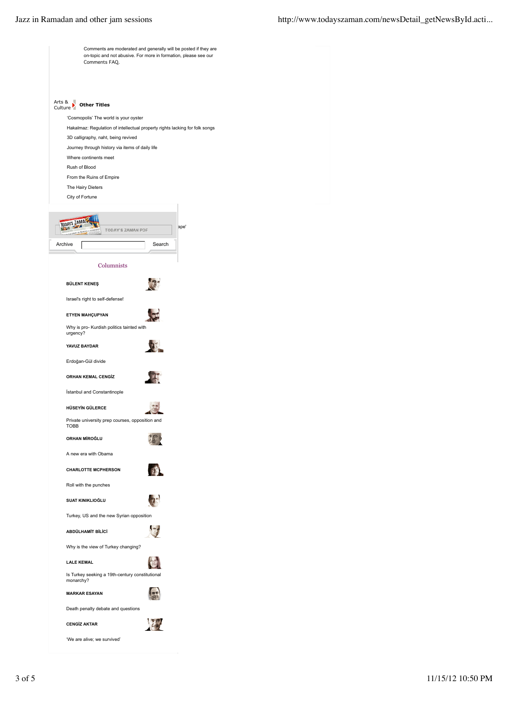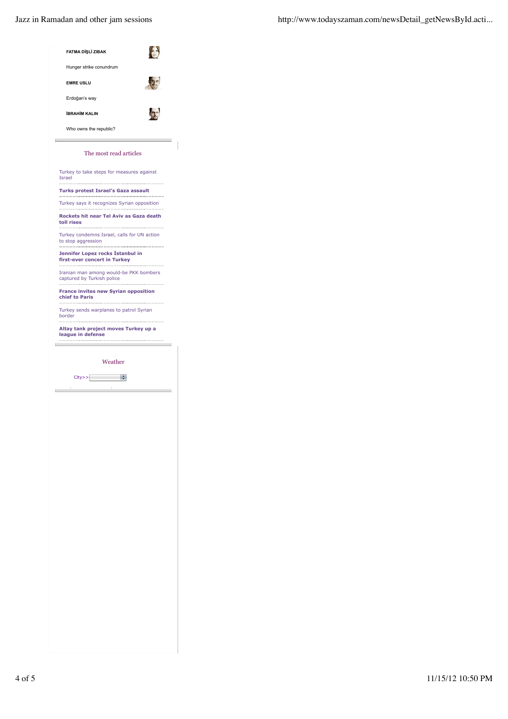